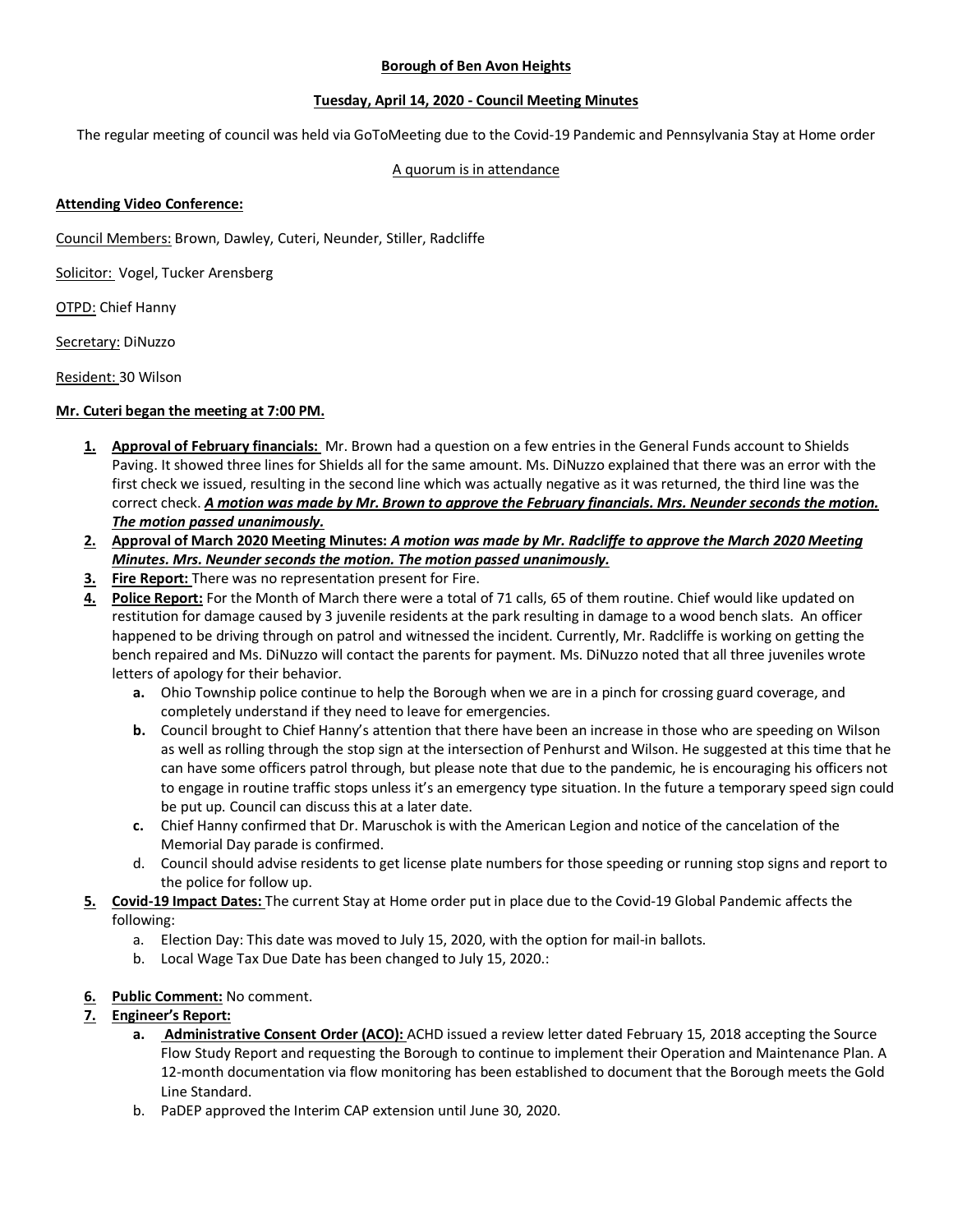## **Borough of Ben Avon Heights**

## **Tuesday, April 14, 2020 - Council Meeting Minutes**

The regular meeting of council was held via GoToMeeting due to the Covid-19 Pandemic and Pennsylvania Stay at Home order

## A quorum is in attendance

#### **Attending Video Conference:**

Council Members: Brown, Dawley, Cuteri, Neunder, Stiller, Radcliffe

Solicitor: Vogel, Tucker Arensberg

OTPD: Chief Hanny

Secretary: DiNuzzo

Resident: 30 Wilson

#### **Mr. Cuteri began the meeting at 7:00 PM.**

- **1. Approval of February financials:** Mr. Brown had a question on a few entries in the General Funds account to Shields Paving. It showed three lines for Shields all for the same amount. Ms. DiNuzzo explained that there was an error with the first check we issued, resulting in the second line which was actually negative as it was returned, the third line was the correct check. *A motion was made by Mr. Brown to approve the February financials. Mrs. Neunder seconds the motion. The motion passed unanimously.*
- **2. Approval of March 2020 Meeting Minutes:** *A motion was made by Mr. Radcliffe to approve the March 2020 Meeting Minutes. Mrs. Neunder seconds the motion. The motion passed unanimously.*
- **3. Fire Report:** There was no representation present for Fire.
- **4. Police Report:** For the Month of March there were a total of 71 calls, 65 of them routine. Chief would like updated on restitution for damage caused by 3 juvenile residents at the park resulting in damage to a wood bench slats. An officer happened to be driving through on patrol and witnessed the incident. Currently, Mr. Radcliffe is working on getting the bench repaired and Ms. DiNuzzo will contact the parents for payment. Ms. DiNuzzo noted that all three juveniles wrote letters of apology for their behavior.
	- **a.** Ohio Township police continue to help the Borough when we are in a pinch for crossing guard coverage, and completely understand if they need to leave for emergencies.
	- **b.** Council brought to Chief Hanny's attention that there have been an increase in those who are speeding on Wilson as well as rolling through the stop sign at the intersection of Penhurst and Wilson. He suggested at this time that he can have some officers patrol through, but please note that due to the pandemic, he is encouraging his officers not to engage in routine traffic stops unless it's an emergency type situation. In the future a temporary speed sign could be put up. Council can discuss this at a later date.
	- **c.** Chief Hanny confirmed that Dr. Maruschok is with the American Legion and notice of the cancelation of the Memorial Day parade is confirmed.
	- d. Council should advise residents to get license plate numbers for those speeding or running stop signs and report to the police for follow up.
- **5. Covid-19 Impact Dates:** The current Stay at Home order put in place due to the Covid-19 Global Pandemic affects the following:
	- a. Election Day: This date was moved to July 15, 2020, with the option for mail-in ballots.
	- b. Local Wage Tax Due Date has been changed to July 15, 2020.:
- **6. Public Comment:** No comment.

# **7. Engineer's Report:**

- **a. Administrative Consent Order (ACO):** ACHD issued a review letter dated February 15, 2018 accepting the Source Flow Study Report and requesting the Borough to continue to implement their Operation and Maintenance Plan. A 12-month documentation via flow monitoring has been established to document that the Borough meets the Gold Line Standard.
- b. PaDEP approved the Interim CAP extension until June 30, 2020.